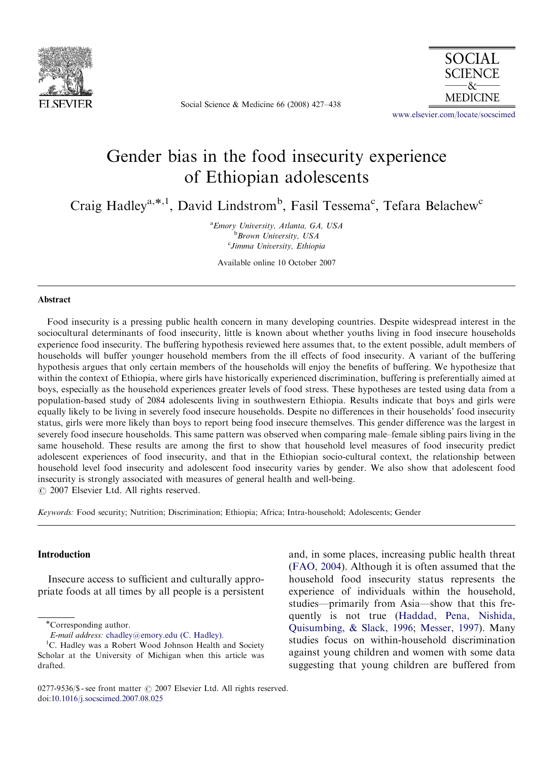

Social Science & Medicine 66 (2008) 427–438



<www.elsevier.com/locate/socscimed>

## Gender bias in the food insecurity experience of Ethiopian adolescents

Craig Hadley<sup>a,\*,1</sup>, David Lindstrom<sup>b</sup>, Fasil Tessema<sup>c</sup>, Tefara Belachew<sup>c</sup>

<sup>a</sup> Emory University, Atlanta, GA, USA **Brown University**, USA <sup>c</sup>Jimma University, Ethiopia

Available online 10 October 2007

### Abstract

Food insecurity is a pressing public health concern in many developing countries. Despite widespread interest in the sociocultural determinants of food insecurity, little is known about whether youths living in food insecure households experience food insecurity. The buffering hypothesis reviewed here assumes that, to the extent possible, adult members of households will buffer younger household members from the ill effects of food insecurity. A variant of the buffering hypothesis argues that only certain members of the households will enjoy the benefits of buffering. We hypothesize that within the context of Ethiopia, where girls have historically experienced discrimination, buffering is preferentially aimed at boys, especially as the household experiences greater levels of food stress. These hypotheses are tested using data from a population-based study of 2084 adolescents living in southwestern Ethiopia. Results indicate that boys and girls were equally likely to be living in severely food insecure households. Despite no differences in their households' food insecurity status, girls were more likely than boys to report being food insecure themselves. This gender difference was the largest in severely food insecure households. This same pattern was observed when comparing male–female sibling pairs living in the same household. These results are among the first to show that household level measures of food insecurity predict adolescent experiences of food insecurity, and that in the Ethiopian socio-cultural context, the relationship between household level food insecurity and adolescent food insecurity varies by gender. We also show that adolescent food insecurity is strongly associated with measures of general health and well-being.  $\odot$  2007 Elsevier Ltd. All rights reserved.

Keywords: Food security; Nutrition; Discrimination; Ethiopia; Africa; Intra-household; Adolescents; Gender

## Introduction

Insecure access to sufficient and culturally appropriate foods at all times by all people is a persistent

and, in some places, increasing public health threat [\(FAO, 2004](#page--1-0)). Although it is often assumed that the household food insecurity status represents the experience of individuals within the household, studies—primarily from Asia—show that this frequently is not true ([Haddad, Pena, Nishida,](#page--1-0) [Quisumbing,](#page--1-0) & [Slack, 1996](#page--1-0); [Messer, 1997](#page--1-0)). Many studies focus on within-household discrimination against young children and women with some data suggesting that young children are buffered from

<sup>-</sup>Corresponding author.

E-mail address: [chadley@emory.edu \(C. Hadley\).](mailto:chadley@emory.edu)

<sup>&</sup>lt;sup>1</sup>C. Hadley was a Robert Wood Johnson Health and Society Scholar at the University of Michigan when this article was drafted.

<sup>0277-9536/\$ -</sup> see front matter  $\odot$  2007 Elsevier Ltd. All rights reserved. doi:[10.1016/j.socscimed.2007.08.025](dx.doi.org/10.1016/j.socscimed.2007.08.025)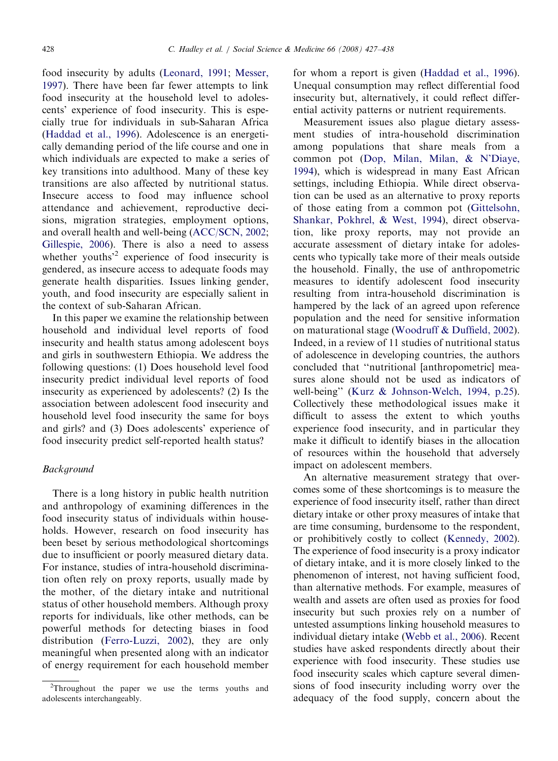food insecurity by adults [\(Leonard, 1991](#page--1-0); [Messer,](#page--1-0) [1997](#page--1-0)). There have been far fewer attempts to link food insecurity at the household level to adolescents' experience of food insecurity. This is especially true for individuals in sub-Saharan Africa ([Haddad et al., 1996\)](#page--1-0). Adolescence is an energetically demanding period of the life course and one in which individuals are expected to make a series of key transitions into adulthood. Many of these key transitions are also affected by nutritional status. Insecure access to food may influence school attendance and achievement, reproductive decisions, migration strategies, employment options, and overall health and well-being [\(ACC/SCN, 2002;](#page--1-0) [Gillespie, 2006](#page--1-0)). There is also a need to assess whether youths<sup>2</sup> experience of food insecurity is gendered, as insecure access to adequate foods may generate health disparities. Issues linking gender, youth, and food insecurity are especially salient in the context of sub-Saharan African.

In this paper we examine the relationship between household and individual level reports of food insecurity and health status among adolescent boys and girls in southwestern Ethiopia. We address the following questions: (1) Does household level food insecurity predict individual level reports of food insecurity as experienced by adolescents? (2) Is the association between adolescent food insecurity and household level food insecurity the same for boys and girls? and (3) Does adolescents' experience of food insecurity predict self-reported health status?

### **Background**

There is a long history in public health nutrition and anthropology of examining differences in the food insecurity status of individuals within households. However, research on food insecurity has been beset by serious methodological shortcomings due to insufficient or poorly measured dietary data. For instance, studies of intra-household discrimination often rely on proxy reports, usually made by the mother, of the dietary intake and nutritional status of other household members. Although proxy reports for individuals, like other methods, can be powerful methods for detecting biases in food distribution [\(Ferro-Luzzi, 2002](#page--1-0)), they are only meaningful when presented along with an indicator of energy requirement for each household member

for whom a report is given ([Haddad et al., 1996](#page--1-0)). Unequal consumption may reflect differential food insecurity but, alternatively, it could reflect differential activity patterns or nutrient requirements.

Measurement issues also plague dietary assessment studies of intra-household discrimination among populations that share meals from a common pot ([Dop, Milan, Milan,](#page--1-0) & [N'Diaye,](#page--1-0) [1994](#page--1-0)), which is widespread in many East African settings, including Ethiopia. While direct observation can be used as an alternative to proxy reports of those eating from a common pot ([Gittelsohn,](#page--1-0) [Shankar, Pokhrel,](#page--1-0) [& West, 1994](#page--1-0)), direct observation, like proxy reports, may not provide an accurate assessment of dietary intake for adolescents who typically take more of their meals outside the household. Finally, the use of anthropometric measures to identify adolescent food insecurity resulting from intra-household discrimination is hampered by the lack of an agreed upon reference population and the need for sensitive information on maturational stage ([Woodruff & Duffield, 2002](#page--1-0)). Indeed, in a review of 11 studies of nutritional status of adolescence in developing countries, the authors concluded that ''nutritional [anthropometric] measures alone should not be used as indicators of well-being'' [\(Kurz & Johnson-Welch, 1994, p.25](#page--1-0)). Collectively these methodological issues make it difficult to assess the extent to which youths experience food insecurity, and in particular they make it difficult to identify biases in the allocation of resources within the household that adversely impact on adolescent members.

An alternative measurement strategy that overcomes some of these shortcomings is to measure the experience of food insecurity itself, rather than direct dietary intake or other proxy measures of intake that are time consuming, burdensome to the respondent, or prohibitively costly to collect [\(Kennedy, 2002](#page--1-0)). The experience of food insecurity is a proxy indicator of dietary intake, and it is more closely linked to the phenomenon of interest, not having sufficient food, than alternative methods. For example, measures of wealth and assets are often used as proxies for food insecurity but such proxies rely on a number of untested assumptions linking household measures to individual dietary intake [\(Webb et al., 2006](#page--1-0)). Recent studies have asked respondents directly about their experience with food insecurity. These studies use food insecurity scales which capture several dimensions of food insecurity including worry over the adequacy of the food supply, concern about the

 $2$ Throughout the paper we use the terms youths and adolescents interchangeably.